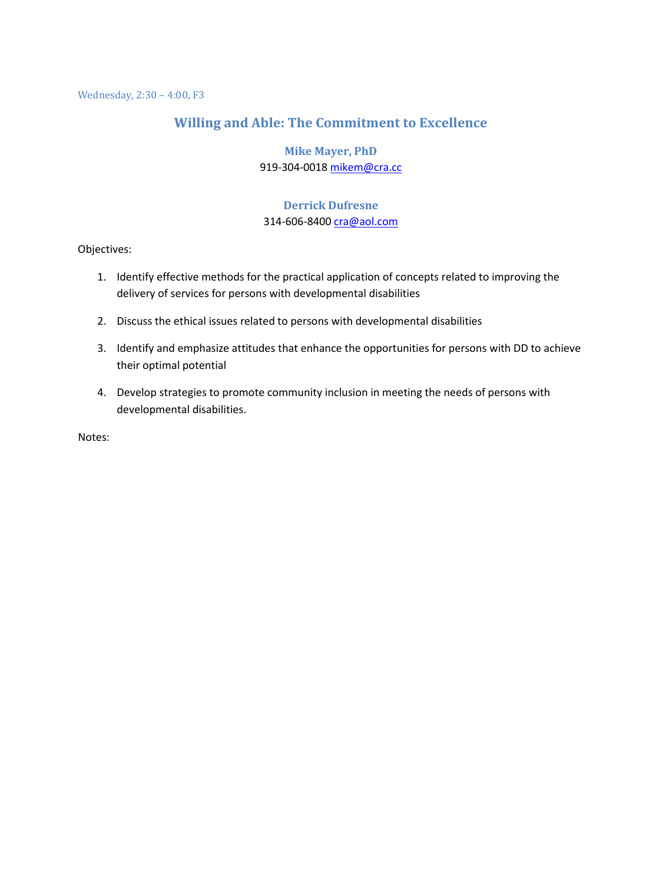#### **Willing and Able: The Commitment to Excellence**

#### **Mike Mayer, PhD** 919-304-0018 [mikem@cra.cc](mailto:mikem@cra.cc)

#### **Derrick Dufresne** 314-606-8400 [cra@aol.com](mailto:cra@aol.com)

Objectives:

- 1. Identify effective methods for the practical application of concepts related to improving the delivery of services for persons with developmental disabilities
- 2. Discuss the ethical issues related to persons with developmental disabilities
- 3. Identify and emphasize attitudes that enhance the opportunities for persons with DD to achieve their optimal potential
- 4. Develop strategies to promote community inclusion in meeting the needs of persons with developmental disabilities.

Notes: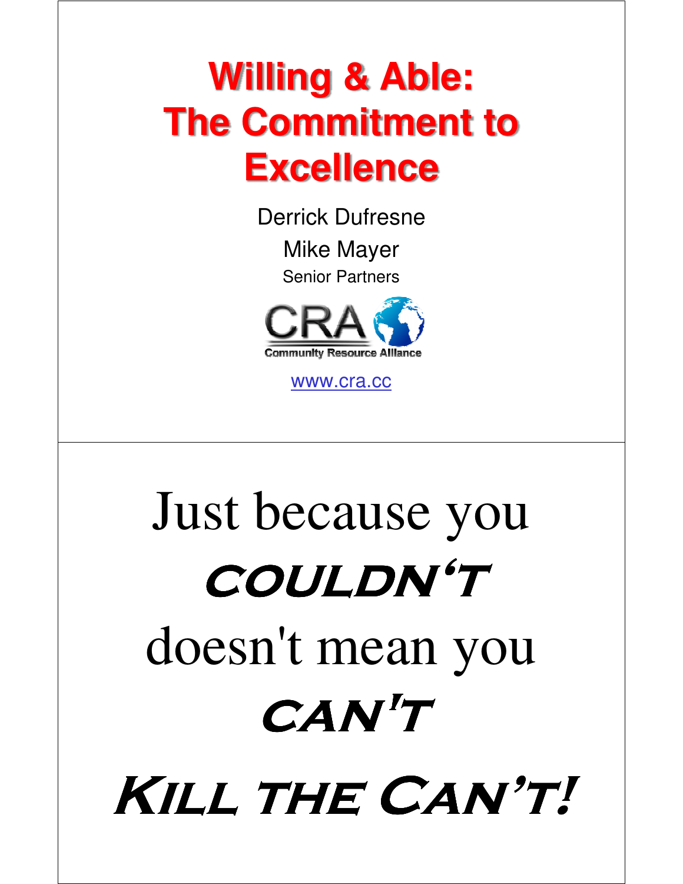# **Willing & Able: The Commitment to Excellence**

Derrick Dufresne Mike Mayer

Senior Partners



www.cra.cc

# Just because you **couldn't** doesn't mean you **can't**

**Kill the Can't!**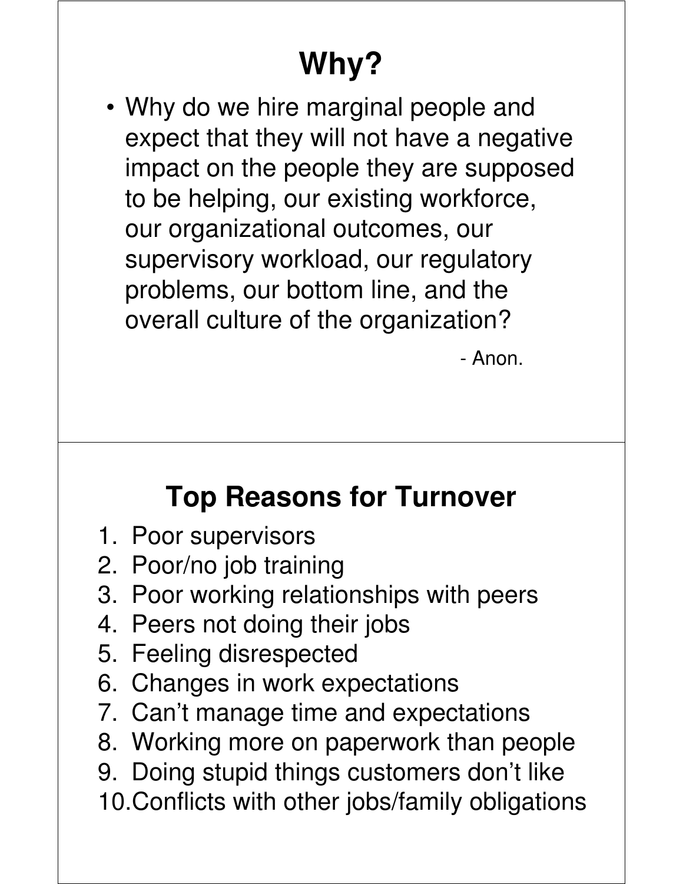## **Why?**

• Why do we hire marginal people and expect that they will not have a negative impact on the people they are supposed to be helping, our existing workforce, our organizational outcomes, our supervisory workload, our regulatory problems, our bottom line, and the overall culture of the organization?

- Anon.

#### **Top Reasons for Turnover**

- 1. Poor supervisors
- 2. Poor/no job training
- 3. Poor working relationships with peers
- 4. Peers not doing their jobs
- 5. Feeling disrespected
- 6. Changes in work expectations
- 7. Can't manage time and expectations
- 8. Working more on paperwork than people
- 9. Doing stupid things customers don't like
- 10.Conflicts with other jobs/family obligations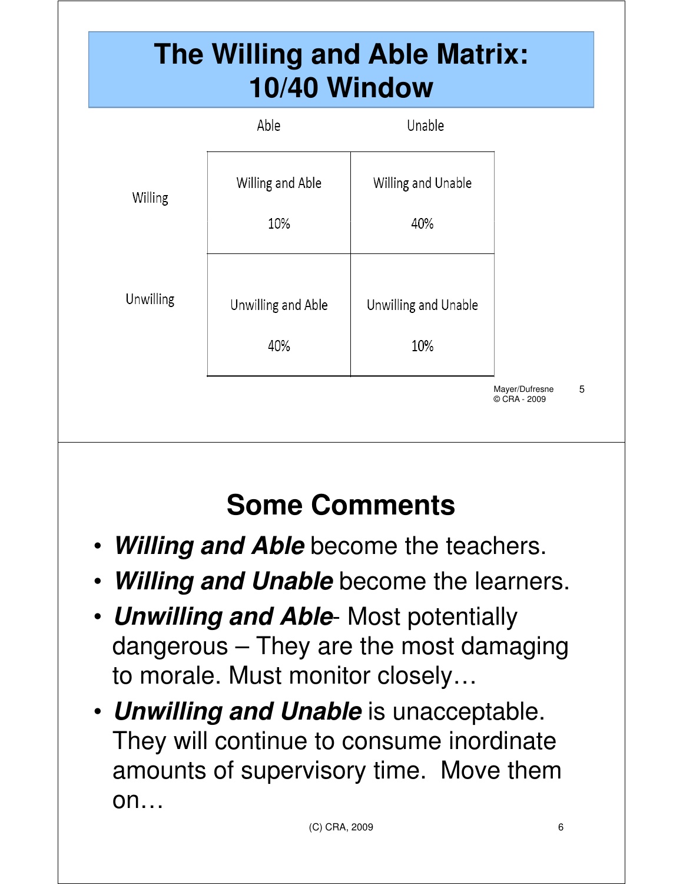#### **The Willing and Able Matrix: 10/40 Window**

|           | Able                      | Unable                      |                                |   |
|-----------|---------------------------|-----------------------------|--------------------------------|---|
| Willing   | Willing and Able<br>10%   | Willing and Unable<br>40%   |                                |   |
| Unwilling | Unwilling and Able<br>40% | Unwilling and Unable<br>10% |                                |   |
|           |                           |                             | Mayer/Dufresne<br>© CRA - 2009 | 5 |

## **Some Comments**

- **Willing and Able** become the teachers.
- **Willing and Unable** become the learners.
- **Unwilling and Able** Most potentially dangerous – They are the most damaging to morale. Must monitor closely…
- **Unwilling and Unable** is unacceptable. They will continue to consume inordinate amounts of supervisory time. Move them on…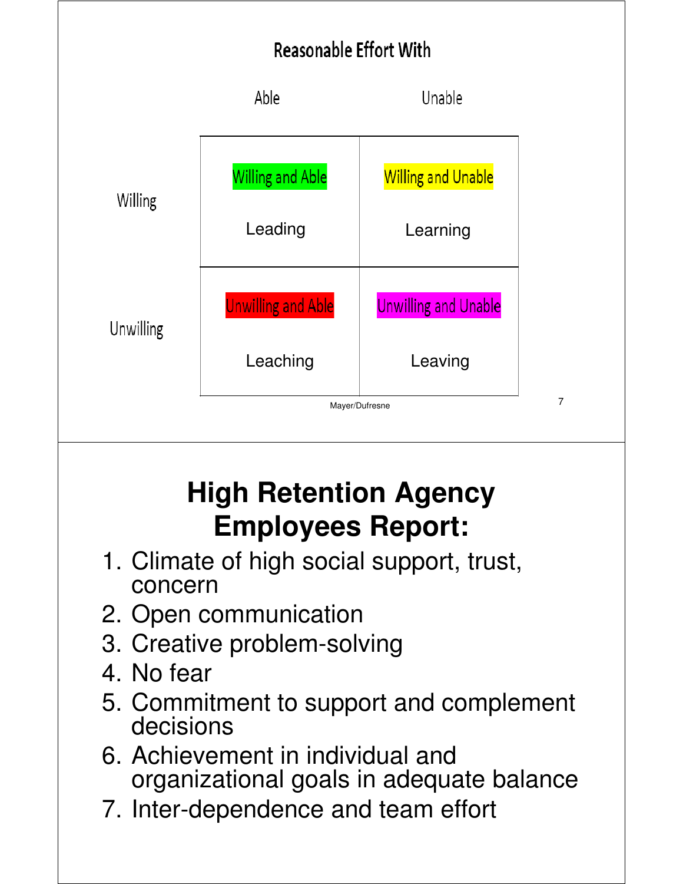



#### **High Retention Agency Employees Report:**

- 1. Climate of high social support, trust, concern
- 2. Open communication
- 3. Creative problem-solving
- 4. No fear
- 5. Commitment to support and complement decisions
- 6. Achievement in individual and organizational goals in adequate balance
- 7. Inter-dependence and team effort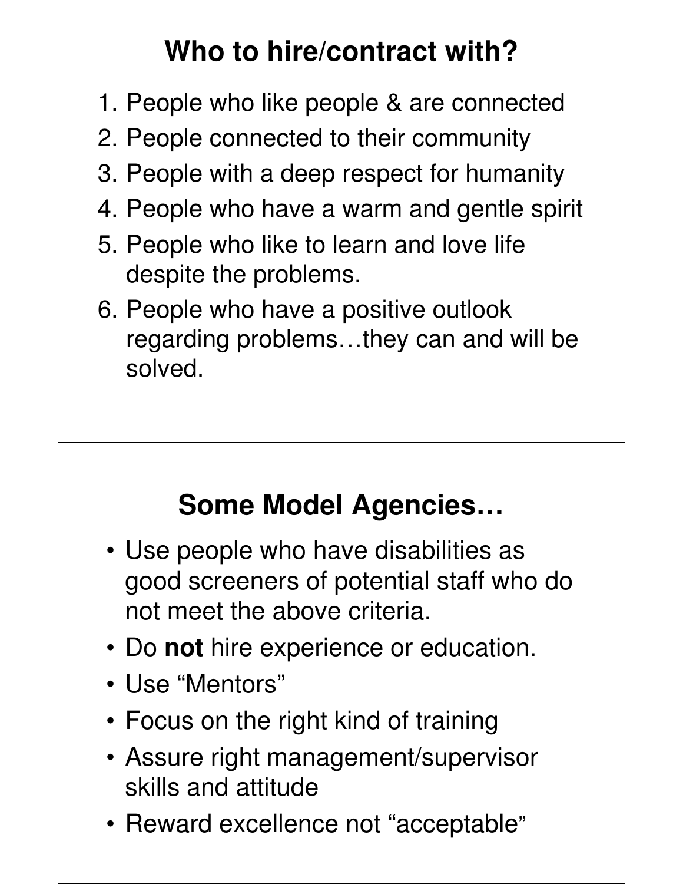## **Who to hire/contract with?**

- 1. People who like people & are connected
- 2. People connected to their community
- 3. People with a deep respect for humanity
- 4. People who have a warm and gentle spirit
- 5. People who like to learn and love life despite the problems.
- 6. People who have a positive outlook regarding problems…they can and will be solved.

#### **Some Model Agencies…**

- Use people who have disabilities as good screeners of potential staff who do not meet the above criteria.
- Do **not** hire experience or education.
- Use "Mentors"
- Focus on the right kind of training
- Assure right management/supervisor skills and attitude
- Reward excellence not "acceptable"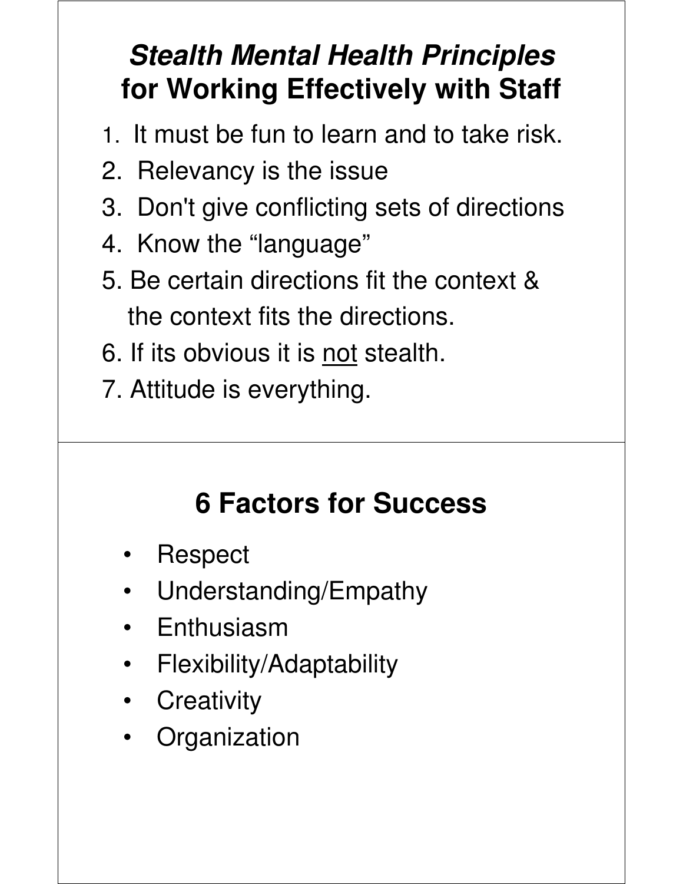#### **Stealth Mental Health Principles for Working Effectively with Staff**

- 1. It must be fun to learn and to take risk.
- 2. Relevancy is the issue
- 3. Don't give conflicting sets of directions
- 4. Know the "language"
- 5. Be certain directions fit the context & the context fits the directions.
- 6. If its obvious it is not stealth.
- 7. Attitude is everything.

## **6 Factors for Success**

- Respect
- Understanding/Empathy
- Enthusiasm
- Flexibility/Adaptability
- Creativity
- Organization